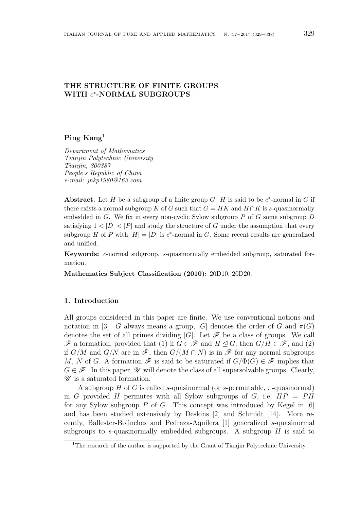# **THE STRUCTURE OF FINITE GROUPS WITH** *c ∗* **-NORMAL SUBGROUPS**

## **Ping Kang**<sup>1</sup>

*Department of Mathematics Tianjin Polytechnic University Tianjin, 300387 People's Republic of China e-mail: jnkp1980@163.com*

Abstract. Let *H* be a subgroup of a finite group *G*. *H* is said to be  $c^*$ -normal in *G* if there exists a normal subgroup *K* of *G* such that  $G = HK$  and  $H \cap K$  is *s*-quasinormally embedded in *G*. We fix in every non-cyclic Sylow subgroup *P* of *G* some subgroup *D* satisfying  $1 < |D| < |P|$  and study the structure of G under the assumption that every subgroup *H* of *P* with  $|H| = |D|$  is  $c^*$ -normal in *G*. Some recent results are generalized and unified.

**Keywords:** *c*-normal subgroup, *s*-quasinormally embedded subgroup, saturated formation.

**Mathematics Subject Classification (2010):** 20D10, 20D20.

## **1. Introduction**

All groups considered in this paper are finite. We use conventional notions and notation in [3]. *G* always means a group,  $|G|$  denotes the order of *G* and  $\pi(G)$ denotes the set of all primes dividing  $|G|$ . Let  $\mathscr F$  be a class of groups. We call *F* a formation, provided that (1) if *G* ∈ *F* and *H*  $\triangleleft$  *G*, then *G*/*H* ∈ *F*, and (2) if  $G/M$  and  $G/N$  are in  $\mathscr{F}$ , then  $G/(M \cap N)$  is in  $\mathscr{F}$  for any normal subgroups *M*, *N* of *G*. A formation  $\mathscr F$  is said to be saturated if  $G/\Phi(G) \in \mathscr F$  implies that  $G \in \mathscr{F}$ . In this paper,  $\mathscr U$  will denote the class of all supersolvable groups. Clearly, *U* is a saturated formation.

A subgroup *H* of *G* is called *s*-quasinormal (or *s*-permutable, *π*-quasinormal) in *G* provided *H* permutes with all Sylow subgroups of *G*, i.e,  $HP = PH$ for any Sylow subgroup *P* of *G*. This concept was introduced by Kegel in [6] and has been studied extensively by Deskins [2] and Schmidt [14]. More recently, Ballester-Bolinches and Pedraza-Aquilera [1] generalized *s*-quasinormal subgroups to *s*-quasinormally embedded subgroups. A subgroup *H* is said to

<sup>&</sup>lt;sup>1</sup>The research of the author is supported by the Grant of Tianjin Polytechnic University.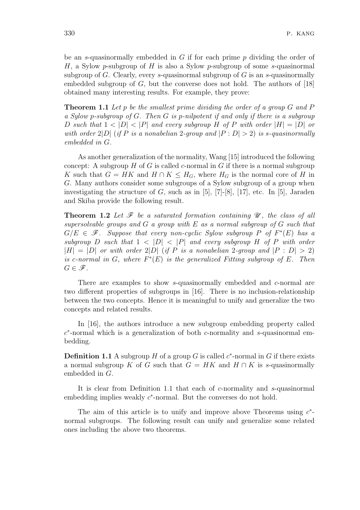be an *s*-quasinormally embedded in *G* if for each prime *p* dividing the order of *H*, a Sylow *p*-subgroup of *H* is also a Sylow *p*-subgroup of some *s*-quasinormal subgroup of *G*. Clearly, every *s*-quasinormal subgroup of *G* is an *s*-quasinormally embedded subgroup of *G*, but the converse does not hold. The authors of [18] obtained many interesting results. For example, they prove:

**Theorem 1.1** *Let p be the smallest prime dividing the order of a group G and P a Sylow p-subgroup of G. Then G is p-nilpotent if and only if there is a subgroup* D such that  $1 < |D| < |P|$  and every subgroup H of P with order  $|H| = |D|$  or *with order*  $2|D|$  (*if*  $P$  *is a nonabelian* 2*-group and*  $|P:D| > 2$ ) *is s-quasinormally embedded in G.*

As another generalization of the normality, Wang [15] introduced the following concept: A subgroup *H* of *G* is called *c*-normal in *G* if there is a normal subgroup *K* such that  $G = HK$  and  $H \cap K \leq H_G$ , where  $H_G$  is the normal core of *H* in *G*. Many authors consider some subgroups of a Sylow subgroup of a group when investigating the structure of  $G$ , such as in  $[5]$ ,  $[7]$ - $[8]$ ,  $[17]$ , etc. In  $[5]$ , Jaraden and Skiba provide the following result.

**Theorem 1.2** *Let F be a saturated formation containing U , the class of all supersolvable groups and G a group with E as a normal subgroup of G such that*  $G/E \in \mathscr{F}$ . Suppose that every non-cyclic Sylow subgroup P of  $F^*(E)$  has a *subgroup D such* that  $1 < |D| < |P|$  *and every subgroup H of P with order*  $|H| = |D|$  *or with order*  $2|D|$  (*if P is a nonabelian* 2*-group and*  $|P : D| > 2$ ) *is c*-normal in  $G$ , where  $F^*(E)$  *is the generalized Fitting subgroup of*  $E$ *. Then*  $G \in \mathscr{F}$ *.* 

There are examples to show *s*-quasinormally embedded and *c*-normal are two different properties of subgroups in [16]. There is no inclusion-relationship between the two concepts. Hence it is meaningful to unify and generalize the two concepts and related results.

In [16], the authors introduce a new subgroup embedding property called *c ∗* -normal which is a generalization of both *c*-normality and *s*-quasinormal embedding.

**Definition 1.1** A subgroup *H* of a group *G* is called  $c^*$ -normal in *G* if there exists a normal subgroup *K* of *G* such that  $G = HK$  and  $H \cap K$  is *s*-quasinormally embedded in *G*.

It is clear from Definition 1.1 that each of *c*-normality and *s*-quasinormal embedding implies weakly  $c^*$ -normal. But the converses do not hold.

The aim of this article is to unify and improve above Theorems using  $c^*$ normal subgroups. The following result can unify and generalize some related ones including the above two theorems.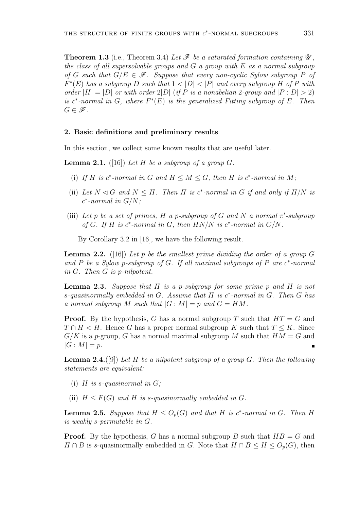**Theorem 1.3** (i.e., Theorem 3.4) Let  $\mathcal{F}$  be a saturated formation containing  $\mathcal{U}$ , *the class of all supersolvable groups and G a group with E as a normal subgroup of G* such that  $G/E \in \mathcal{F}$ *. Suppose that every non-cyclic Sylow subgroup P of*  $F^*(E)$  *has a subgroup D such that*  $1 < |D| < |P|$  *and every subgroup H of P with order*  $|H| = |D|$  *or with order*  $2|D|$  (*if P is a nonabelian* 2*-group and*  $|P : D| > 2$ ) *is*  $c^*$ -normal in  $G$ , where  $F^*(E)$  is the generalized Fitting subgroup of  $E$ . Then  $G \in \mathscr{F}$ *.* 

#### **2. Basic definitions and preliminary results**

In this section, we collect some known results that are useful later.

**Lemma 2.1.** ([16]) Let  $H$  be a subgroup of a group  $G$ .

- (i) If *H* is  $c^*$ -normal in  $G$  and  $H \leq M \leq G$ , then  $H$  is  $c^*$ -normal in  $M$ ;
- (ii) Let  $N \triangleleft G$  and  $N \leq H$ . Then  $H$  is  $c^*$ -normal in  $G$  if and only if  $H/N$  is *c ∗ -normal in G/N;*
- (iii) Let p be a set of primes, H a p-subgroup of G and N a normal  $\pi'$ -subgroup *of*  $G$ *. If*  $H$  *is*  $c^*$ -normal in  $G$ *,* then  $HN/N$  *is*  $c^*$ -normal in  $G/N$ *.*

By Corollary 3.2 in [16], we have the following result.

**Lemma 2.2.** ([16]) *Let p be the smallest prime dividing the order of a group G and P be a Sylow p-subgroup of G. If all maximal subgroups of P are c ∗ -normal in G. Then G is p-nilpotent.*

**Lemma 2.3.** *Suppose that H is a p-subgroup for some prime p and H is not s-quasinormally embedded in G. Assume that H is c ∗ -normal in G. Then G has a normal subgroup M such that*  $|G : M| = p$  *and*  $G = HM$ *.* 

**Proof.** By the hypothesis, *G* has a normal subgroup *T* such that *HT* = *G* and  $T \cap H \leq H$ . Hence *G* has a proper normal subgroup *K* such that  $T \leq K$ . Since  $G/K$  is a *p*-group, *G* has a normal maximal subgroup *M* such that  $HM = G$  and  $|G : M| = p$ .

**Lemma 2.4.**([9]) *Let H be a nilpotent subgroup of a group G. Then the following statements are equivalent:*

- (i)  $H$  *is s-quasinormal in G*;
- (ii)  $H \leq F(G)$  *and*  $H$  *is s-quasinormally embedded in G.*

**Lemma 2.5.** *Suppose that*  $H \leq O_p(G)$  *and that*  $H$  *is c*<sup>\*</sup>-normal *in*  $G$ *. Then*  $H$ *is weakly s-permutable in G.*

**Proof.** By the hypothesis, *G* has a normal subgroup *B* such that *HB* = *G* and *H* ∩ *B* is *s*-quasinormally embedded in *G*. Note that  $H \cap B \leq H \leq O_p(G)$ , then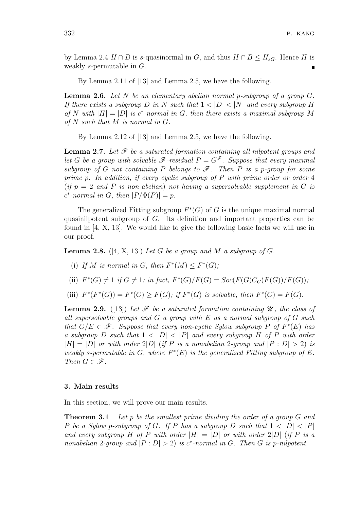by Lemma 2.4 *H* ∩ *B* is *s*-quasinormal in *G*, and thus *H* ∩ *B*  $\leq$  *H*<sub>*sG*</sub>. Hence *H* is weakly *s*-permutable in *G*.

By Lemma 2.11 of [13] and Lemma 2.5, we have the following.

**Lemma 2.6.** *Let N be an elementary abelian normal p-subgroup of a group G. If there exists a subgroup D in N such that*  $1 < |D| < |N|$  *and every subgroup H of*  $N$  *with*  $|H| = |D|$  *is c*<sup>\*</sup>-normal in *G*, then there exists a maximal subgroup  $M$ *of N such that M is normal in G.*

By Lemma 2.12 of [13] and Lemma 2.5, we have the following.

**Lemma 2.7.** *Let F be a saturated formation containing all nilpotent groups and* let *G* be a group with solvable  $\mathscr{F}$ -residual  $P = G^{\mathscr{F}}$ . Suppose that every maximal *subgroup of G not containing P belongs to*  $\mathscr{F}$ *. Then P is a p-group for some prime p. In addition, if every cyclic subgroup of P with prime order or order* 4  $(i f p = 2 \text{ and } P \text{ is non-abelian}$  not having a supersolvable supplement in G is  $c^*$ -normal in *G*, then  $|P/\Phi(P)| = p$ .

The generalized Fitting subgroup  $F^*(G)$  of *G* is the unique maximal normal quasinilpotent subgroup of *G*. Its definition and important properties can be found in [4, X, 13]. We would like to give the following basic facts we will use in our proof.

**Lemma 2.8.** ([4, X, 13]) *Let*  $G$  *be a group and*  $M$  *a subgroup of*  $G$ *.* 

- (i) If *M* is normal in *G*, then  $F^*(M) \leq F^*(G)$ ;
- (ii)  $F^*(G) \neq 1$  if  $G \neq 1$ ; in fact,  $F^*(G)/F(G) = Soc(F(G)C_G(F(G))/F(G))$ ;
- (iii)  $F^*(F^*(G)) = F^*(G) \ge F(G)$ ; if  $F^*(G)$  is solvable, then  $F^*(G) = F(G)$ .

**Lemma 2.9.** ([13]) Let  $\mathcal F$  be a saturated formation containing  $\mathcal U$ , the class of *all supersolvable groups and G a group with E as a normal subgroup of G such that*  $G/E \in \mathscr{F}$ *. Suppose that every non-cyclic Sylow subgroup P of*  $F^*(E)$  *has a* subgroup *D* such that  $1 < |D| < |P|$  and every subgroup *H* of *P* with order  $|H| = |D|$  *or with order* 2 $|D|$  (*if P is a nonabelian* 2*-group and*  $|P : D| > 2$ ) *is weakly s*-permutable in *G*, where  $F^*(E)$  *is the generalized Fitting subgroup of*  $E$ *. Then*  $G \in \mathscr{F}$ *.* 

#### **3. Main results**

In this section, we will prove our main results.

**Theorem 3.1** *Let p be the smallest prime dividing the order of a group G and P be a Sylow p-subgroup of <i>G*. If *P* has a subgroup *D* such that  $1 < |D| < |P|$ *and every subgroup H* of *P* with order  $|H| = |D|$  or with order  $2|D|$  (if *P* is a *nonabelian* 2*-group and*  $|P : D| > 2$  *is c*<sup>\*</sup>*-normal in G. Then G is p-nilpotent.*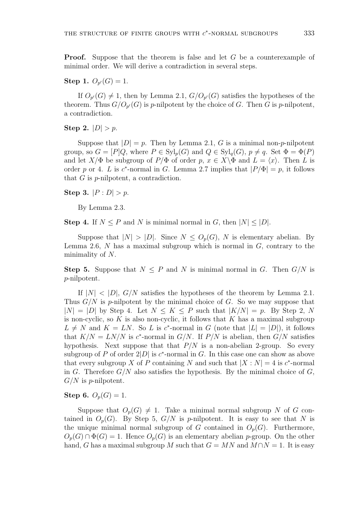**Proof.** Suppose that the theorem is false and let *G* be a counterexample of minimal order. We will derive a contradiction in several steps.

**Step 1.**  $O_{p'}(G) = 1$ .

If  $O_{p'}(G) \neq 1$ , then by Lemma 2.1,  $G/O_{p'}(G)$  satisfies the hypotheses of the theorem. Thus  $G/O_{p'}(G)$  is *p*-nilpotent by the choice of *G*. Then *G* is *p*-nilpotent, a contradiction.

**Step 2.**  $|D| > p$ .

Suppose that  $|D| = p$ . Then by Lemma 2.1, *G* is a minimal non-*p*-nilpotent group, so  $G = [P]Q$ , where  $P \in \mathrm{Syl}_p(G)$  and  $Q \in \mathrm{Syl}_q(G)$ ,  $p \neq q$ . Set  $\Phi = \Phi(P)$ and let  $X/\Phi$  be subgroup of  $P/\Phi$  of order  $p, x \in X\setminus \Phi$  and  $L = \langle x \rangle$ . Then L is order *p* or 4. *L* is *c*<sup>\*</sup>-normal in *G*. Lemma 2.7 implies that  $|P/\Phi| = p$ , it follows that *G* is *p*-nilpotent, a contradiction.

**Step 3.**  $|P : D| > p$ .

By Lemma 2.3.

**Step 4.** If  $N \leq P$  and  $N$  is minimal normal in  $G$ , then  $|N| \leq |D|$ .

Suppose that  $|N| > |D|$ . Since  $N \leq O_p(G)$ , *N* is elementary abelian. By Lemma 2.6, *N* has a maximal subgroup which is normal in *G*, contrary to the minimality of *N*.

**Step 5.** Suppose that  $N \leq P$  and *N* is minimal normal in *G*. Then  $G/N$  is *p*-nilpotent.

If  $|N| < |D|$ ,  $G/N$  satisfies the hypotheses of the theorem by Lemma 2.1. Thus *G/N* is *p*-nilpotent by the minimal choice of *G*. So we may suppose that  $|N| = |D|$  by Step 4. Let  $N \leq K \leq P$  such that  $|K/N| = p$ . By Step 2, N is non-cyclic, so *K* is also non-cyclic, it follows that *K* has a maximal subgroup  $L \neq N$  and  $K = LN$ . So *L* is *c*<sup>\*</sup>-normal in *G* (note that  $|L| = |D|$ ), it follows that  $K/N = LN/N$  is  $c^*$ -normal in  $G/N$ . If  $P/N$  is abelian, then  $G/N$  satisfies hypothesis. Next suppose that that  $P/N$  is a non-abelian 2-group. So every subgroup of *P* of order  $2|D|$  is  $c^*$ -normal in *G*. In this case one can show as above that every subgroup *X* of *P* containing *N* and such that  $|X : N| = 4$  is *c*<sup>\*</sup>-normal in *G*. Therefore  $G/N$  also satisfies the hypothesis. By the minimal choice of  $G$ , *G/N* is *p*-nilpotent.

**Step 6.**  $O_p(G) = 1$ .

Suppose that  $O_p(G) \neq 1$ . Take a minimal normal subgroup *N* of *G* contained in  $O_p(G)$ . By Step 5,  $G/N$  is *p*-nilpotent. It is easy to see that N is the unique minimal normal subgroup of *G* contained in  $O_p(G)$ . Furthermore,  $O_p(G) \cap \Phi(G) = 1$ . Hence  $O_p(G)$  is an elementary abelian *p*-group. On the other hand, *G* has a maximal subgroup *M* such that  $G = MN$  and  $M \cap N = 1$ . It is easy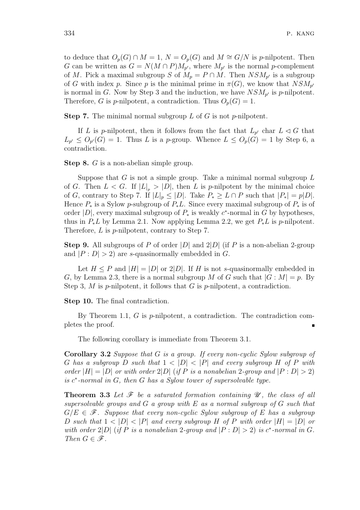to deduce that  $O_p(G) \cap M = 1$ ,  $N = O_p(G)$  and  $M \cong G/N$  is *p*-nilpotent. Then *G* can be written as  $G = N(M \cap P)M_{p'}$ , where  $M_{p'}$  is the normal *p*-complement of *M*. Pick a maximal subgroup *S* of  $M_p = P \cap M$ . Then  $NSM_{p'}$  is a subgroup of *G* with index *p*. Since *p* is the minimal prime in  $\pi(G)$ , we know that  $NSM_{p'}$ is normal in *G*. Now by Step 3 and the induction, we have  $NSM_{p'}$  is *p*-nilpotent. Therefore, *G* is *p*-nilpotent, a contradiction. Thus  $O_p(G) = 1$ .

**Step 7.** The minimal normal subgroup *L* of *G* is not *p*-nilpotent.

If *L* is *p*-nilpotent, then it follows from the fact that  $L_{p'}$  char  $L \leq G$  that  $L_{p'} \leq O_{p'}(G) = 1$ . Thus *L* is a *p*-group. Whence  $L \leq O_p(G) = 1$  by Step 6, a contradiction.

**Step 8.** *G* is a non-abelian simple group.

Suppose that *G* is not a simple group. Take a minimal normal subgroup *L* of *G*. Then  $L < G$ . If  $|L|_p > |D|$ , then *L* is *p*-nilpotent by the minimal choice of G, contrary to Step 7. If  $|L|_p \leq |D|$ . Take  $P_* \geq L \cap P$  such that  $|P_*| = p|D|$ . Hence  $P_*$  is a Sylow *p*-subgroup of  $P_*L$ . Since every maximal subgroup of  $P_*$  is of order  $|D|$ , every maximal subgroup of  $P_*$  is weakly  $c^*$ -normal in  $G$  by hypotheses, thus in  $P_*L$  by Lemma 2.1. Now applying Lemma 2.2, we get  $P_*L$  is *p*-nilpotent. Therefore, *L* is *p*-nilpotent, contrary to Step 7.

**Step 9.** All subgroups of *P* of order *|D|* and 2*|D|* (if *P* is a non-abelian 2-group and  $|P: D| > 2$  are *s*-quasinormally embedded in *G*.

Let  $H \leq P$  and  $|H| = |D|$  or  $2|D|$ . If *H* is not *s*-quasinormally embedded in *G*, by Lemma 2.3, there is a normal subgroup *M* of *G* such that  $|G : M| = p$ . By Step 3, *M* is *p*-nilpotent, it follows that *G* is *p*-nilpotent, a contradiction.

**Step 10.** The final contradiction.

By Theorem 1.1, *G* is *p*-nilpotent, a contradiction. The contradiction completes the proof.

The following corollary is immediate from Theorem 3.1.

**Corollary 3.2** *Suppose that G is a group. If every non-cyclic Sylow subgroup of G* has a subgroup *D* such that  $1 < |D| < |P|$  and every subgroup *H* of *P* with *order*  $|H| = |D|$  *or with order*  $2|D|$  (*if P is a nonabelian* 2*-group and*  $|P : D| > 2$ ) *is c ∗ -normal in G, then G has a Sylow tower of supersolvable type.*

**Theorem 3.3** Let  $\mathcal F$  be a saturated formation containing  $\mathcal U$ , the class of all *supersolvable groups and G a group with E as a normal subgroup of G such that*  $G/E \in \mathscr{F}$ . Suppose that every non-cyclic Sylow subgroup of E has a subgroup D such that  $1 < |D| < |P|$  and every subgroup H of P with order  $|H| = |D|$  or *with order*  $2|D|$  (*if*  $P$  *is a nonabelian*  $2$ -group and  $|P : D| > 2$ ) *is*  $c^*$ -normal in  $G$ *. Then*  $G \in \mathscr{F}$ *.*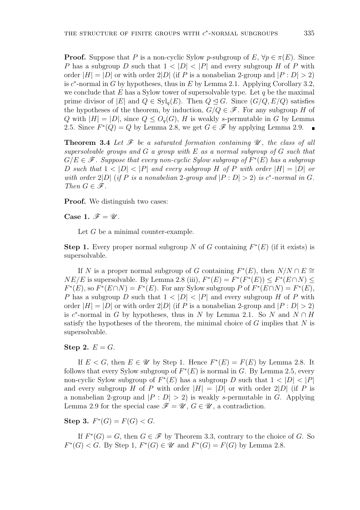**Proof.** Suppose that *P* is a non-cyclic Sylow *p*-subgroup of *E*,  $\forall p \in \pi(E)$ . Since *P* has a subgroup *D* such that  $1 < |D| < |P|$  and every subgroup *H* of *P* with order  $|H| = |D|$  or with order  $2|D|$  (if *P* is a nonabelian 2-group and  $|P : D| > 2$ ) is *c ∗* -normal in *G* by hypotheses, thus in *E* by Lemma 2.1. Applying Corollary 3.2, we conclude that  $E$  has a Sylow tower of supersolvable type. Let  $q$  be the maximal prime divisor of  $|E|$  and  $Q \in Syl_q(E)$ . Then  $Q \triangleleft G$ . Since  $(G/Q, E/Q)$  satisfies the hypotheses of the theorem, by induction,  $G/Q \in \mathscr{F}$ . For any subgroup *H* of *Q* with  $|H| = |D|$ , since  $Q \leq O_q(G)$ , *H* is weakly *s*-permutable in *G* by Lemma 2.5. Since  $F^*(Q) = Q$  by Lemma 2.8, we get  $G \in \mathcal{F}$  by applying Lemma 2.9.

**Theorem 3.4** Let  $\mathcal F$  be a saturated formation containing  $\mathcal U$ , the class of all *supersolvable groups and G a group with E as a normal subgroup of G such that*  $G/E \in \mathscr{F}$ . Suppose that every non-cyclic Sylow subgroup of  $F^*(E)$  has a subgroup D such that  $1 < |D| < |P|$  and every subgroup H of P with order  $|H| = |D|$  or *with order*  $2|D|$  (*if*  $P$  *is a nonabelian*  $2$ -group and  $|P : D| > 2$ ) *is*  $c^*$ -normal in  $G$ *. Then*  $G \in \mathscr{F}$ *.* 

**Proof.** We distinguish two cases:

**Case 1.**  $\mathscr{F} = \mathscr{U}$ .

Let *G* be a minimal counter-example.

**Step 1.** Every proper normal subgroup *N* of *G* containing  $F^*(E)$  (if it exists) is supersolvable.

If *N* is a proper normal subgroup of *G* containing  $F^*(E)$ , then  $N/N \cap E \cong$ *NE*/*E* is supersolvable. By Lemma 2.8 (iii),  $F^*(E) = F^*(F^*(E)) \leq F^*(E \cap N)$  $F^*(E)$ , so  $F^*(E \cap N) = F^*(E)$ . For any Sylow subgroup *P* of  $F^*(E \cap N) = F^*(E)$ , *P* has a subgroup *D* such that  $1 < |D| < |P|$  and every subgroup *H* of *P* with order  $|H| = |D|$  or with order  $2|D|$  (if *P* is a nonabelian 2-group and  $|P : D| > 2$ ) is  $c^*$ -normal in *G* by hypotheses, thus in *N* by Lemma 2.1. So *N* and  $N \cap H$ satisfy the hypotheses of the theorem, the minimal choice of *G* implies that *N* is supersolvable.

**Step 2.**  $E = G$ .

If  $E < G$ , then  $E \in \mathcal{U}$  by Step 1. Hence  $F^*(E) = F(E)$  by Lemma 2.8. It follows that every Sylow subgroup of  $F^*(E)$  is normal in *G*. By Lemma 2.5, every non-cyclic Sylow subgroup of  $F^*(E)$  has a subgroup *D* such that  $1 < |D| < |P|$ and every subgroup *H* of *P* with order  $|H| = |D|$  or with order 2 $|D|$  (if *P* is a nonabelian 2-group and  $|P : D| > 2$  is weakly *s*-permutable in *G*. Applying Lemma 2.9 for the special case  $\mathscr{F} = \mathscr{U}$ ,  $G \in \mathscr{U}$ , a contradiction.

**Step 3.**  $F^*(G) = F(G) < G$ .

If  $F^*(G) = G$ , then  $G \in \mathcal{F}$  by Theorem 3.3, contrary to the choice of *G*. So *F*<sup>\*</sup>(*G*)  $\lt G$ . By Step 1, *F*<sup>\*</sup>(*G*)  $\in \mathcal{U}$  and *F*<sup>\*</sup>(*G*) = *F*(*G*) by Lemma 2.8.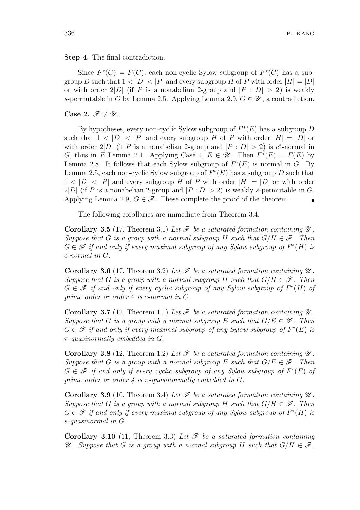### **Step 4.** The final contradiction.

Since  $F^*(G) = F(G)$ , each non-cyclic Sylow subgroup of  $F^*(G)$  has a subgroup *D* such that  $1 < |D| < |P|$  and every subgroup *H* of *P* with order  $|H| = |D|$ or with order 2|*D*| (if *P* is a nonabelian 2-group and  $|P : D| > 2$ ) is weakly *s*-permutable in *G* by Lemma 2.5. Applying Lemma 2.9,  $G \in \mathcal{U}$ , a contradiction.

**Case 2.**  $\mathscr{F} \neq \mathscr{U}$ .

By hypotheses, every non-cyclic Sylow subgroup of *F ∗* (*E*) has a subgroup *D* such that  $1 < |D| < |P|$  and every subgroup *H* of *P* with order  $|H| = |D|$  or with order  $2|D|$  (if *P* is a nonabelian 2-group and  $|P : D| > 2$ ) is *c*<sup>\*</sup>-normal in *G*, thus in *E* Lemma 2.1. Applying Case 1,  $E \in \mathcal{U}$ . Then  $F^*(E) = F(E)$  by Lemma 2.8. It follows that each Sylow subgroup of  $F^*(E)$  is normal in *G*. By Lemma 2.5, each non-cyclic Sylow subgroup of  $F^*(E)$  has a subgroup *D* such that  $1 < |D| < |P|$  and every subgroup *H* of *P* with order  $|H| = |D|$  or with order 2|*D*| (if *P* is a nonabelian 2-group and  $|P : D| > 2$ ) is weakly *s*-permutable in *G*. Applying Lemma 2.9,  $G \in \mathscr{F}$ . These complete the proof of the theorem.

The following corollaries are immediate from Theorem 3.4.

**Corollary 3.5** (17, Theorem 3.1) Let  $\mathcal{F}$  be a saturated formation containing  $\mathcal{U}$ . *Suppose that G is a group with a normal subgroup H such that*  $G/H \in \mathcal{F}$ *. Then*  $G \in \mathscr{F}$  *if and only if every maximal subgroup of any Sylow subgroup of*  $F^*(H)$  *is c-normal in G.*

**Corollary 3.6** (17, Theorem 3.2) Let  $\mathcal{F}$  be a saturated formation containing  $\mathcal{U}$ . *Suppose that G is a group with a normal subgroup H such that*  $G/H \in \mathcal{F}$ *. Then G ∈ F if and only if every cyclic subgroup of any Sylow subgroup of F ∗* (*H*) *of prime order or order* 4 *is c-normal in G.*

**Corollary 3.7** (12, Theorem 1.1) Let  $\mathcal{F}$  be a saturated formation containing  $\mathcal{U}$ . *Suppose that G is a group with a normal subgroup E such that*  $G/E \in \mathcal{F}$ *. Then*  $G \in \mathscr{F}$  *if and only if every maximal subgroup of any Sylow subgroup of*  $F^*(E)$  *is π-quasinormally embedded in G.*

**Corollary 3.8** (12, Theorem 1.2) Let  $\mathcal{F}$  be a saturated formation containing  $\mathcal{U}$ . *Suppose that G is a group with a normal subgroup E such that*  $G/E \in \mathcal{F}$ *. Then G ∈ F if and only if every cyclic subgroup of any Sylow subgroup of F ∗* (*E*) *of prime order or order 4 is π-quasinormally embedded in G.*

**Corollary 3.9** (10, Theorem 3.4) Let  $\mathcal{F}$  be a saturated formation containing  $\mathcal{U}$ . *Suppose that G is a group with a normal subgroup H such that*  $G/H \in \mathcal{F}$ *. Then*  $G \in \mathscr{F}$  *if and only if every maximal subgroup of any Sylow subgroup of*  $F^*(H)$  *is s-quasinormal in G.*

**Corollary 3.10** (11, Theorem 3.3) *Let F be a saturated formation containing U a Suppose that G is a group with a normal subgroup H such that*  $G/H \in \mathcal{F}$ *.*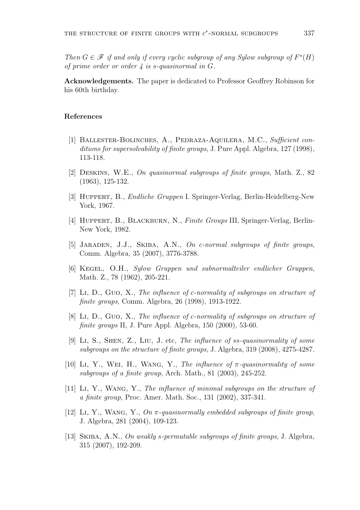*Then*  $G \in \mathcal{F}$  *if and only if every cyclic subgroup of any Sylow subgroup of*  $F^*(H)$ *of prime order or order 4 is s-quasinormal in G.*

**Acknowledgements.** The paper is dedicated to Professor Geoffrey Robinson for his 60th birthday.

## **References**

- [1] Ballester-Bolinches, A., Pedraza-Aquilera, M.C., *Sufficient conditions for supersolvability of finite groups*, J. Pure Appl. Algebra, 127 (1998), 113-118.
- [2] Deskins, W.E., *On quasinormal subgroups of finite groups*, Math. Z., 82 (1963), 125-132.
- [3] Huppert, B., *Endliche Gruppen* I. Springer-Verlag, Berlin-Heidelberg-New York, 1967.
- [4] Huppert, B., Blackburn, N., *Finite Groups* III, Springer-Verlag, Berlin-New York, 1982.
- [5] Jaraden, J.J., Skiba, A.N., *On c-normal subgroups of finite groups*, Comm. Algebra, 35 (2007), 3776-3788.
- [6] Kegel, O.H., *Sylow Gruppen und subnormalteiler endlicher Gruppen*, Math. Z., 78 (1962), 205-221.
- [7] Li, D., Guo, X., *The influence of c-normality of subgroups on structure of finite groups*, Comm. Algebra, 26 (1998), 1913-1922.
- [8] Li, D., Guo, X., *The influence of c-normality of subgroups on structure of finite groups* II, J. Pure Appl. Algebra, 150 (2000), 53-60.
- [9] Li, S., Shen, Z., Liu, J. etc, *The influence of ss-quasinormality of some subgroups on the structure of finite groups*, J. Algebra, 319 (2008), 4275-4287.
- [10] Li, Y., Wei, H., Wang, Y., *The influence of π-quasinormality of some subgroups of a finite group*, Arch. Math., 81 (2003), 245-252.
- [11] Li, Y., Wang, Y., *The influence of minimal subgroups on the structure of a finite group*, Proc. Amer. Math. Soc., 131 (2002), 337-341.
- [12] Li, Y., Wang, Y., *On π-quasinormally embedded subgroups of finite group*, J. Algebra, 281 (2004), 109-123.
- [13] Skiba, A.N., *On weakly s-permutable subgroups of finite groups*, J. Algebra, 315 (2007), 192-209.